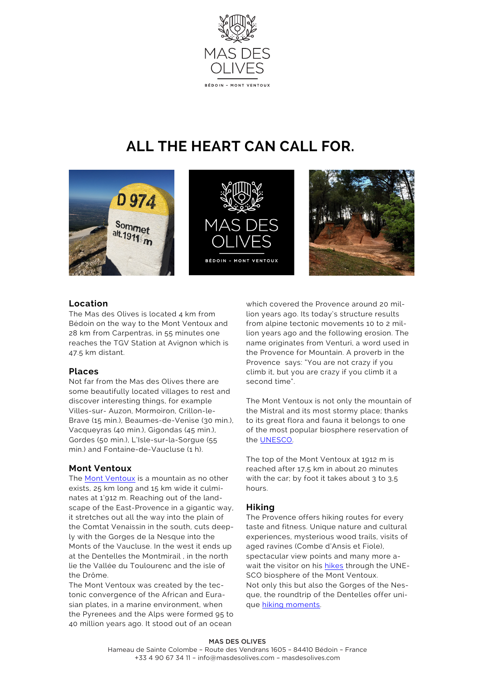

# **ALL THE HEART CAN CALL FOR.**







# **Location**

The Mas des Olives is located 4 km from Bédoin on the way to the Mont Ventoux and 28 km from Carpentras, in 55 minutes one reaches the TGV Station at Avignon which is 47.5 km distant.

# **Places**

Not far from the Mas des Olives there are some beautifully located villages to rest and discover interesting things, for example Villes-sur- Auzon, Mormoiron, Crillon-le-Brave (15 min.), Beaumes-de-Venise (30 min.), Vacqueyras (40 min.), Gigondas (45 min.), Gordes (50 min.), L'Isle-sur-la-Sorgue (55 min.) and Fontaine-de-Vaucluse (1 h).

# **Mont Ventoux**

The [Mont Ventoux](http://www.geol-alp.com/diois/_lieux_baronnies/Ventoux.html) is a mountain as no other exists, 25 km long and 15 km wide it culminates at 1'912 m. Reaching out of the landscape of the East-Provence in a gigantic way, it stretches out all the way into the plain of the Comtat Venaissin in the south, cuts deeply with the Gorges de la Nesque into the Monts of the Vaucluse. In the west it ends up at the Dentelles the Montmirail , in the north lie the Vallée du Toulourenc and the isle of the Drôme.

The Mont Ventoux was created by the tectonic convergence of the African and Eurasian plates, in a marine environment, when the Pyrenees and the Alps were formed 95 to 40 million years ago. It stood out of an ocean

which covered the Provence around 20 million years ago. Its today's structure results from alpine tectonic movements 10 to 2 million years ago and the following erosion. The name originates from Venturi, a word used in the Provence for Mountain. A proverb in the Provence says: "You are not crazy if you climb it, but you are crazy if you climb it a second time".

The Mont Ventoux is not only the mountain of the Mistral and its most stormy place; thanks to its great flora and fauna it belongs to one of the most popular biosphere reservation of the [UNESCO.](http://cnstlltn.com/master/a93619b1-5fcf-4532-80cd-9d6614af8c3e/natura2000-ventoux.pdf)

The top of the Mont Ventoux at 1912 m is reached after 17,5 km in about 20 minutes with the car; by foot it takes about 3 to 3.5 hours.

# **Hiking**

The Provence offers hiking routes for every taste and fitness. Unique nature and cultural experiences, mysterious wood trails, visits of aged ravines (Combe d'Ansis et Fiole), spectacular view points and many more await the visitor on his [hikes](http://www.camptocamp.org/routes/244137/fr/par-la-face-s-combes-d-ansis-et-fiole) through the UNE-SCO biosphere of the Mont Ventoux. Not only this but also the Gorges of the Nesque, the roundtrip of the Dentelles offer unique [hiking moments](http://www.france-randos.com/?q=les-randonnees&field_pays_tid=4&field_r_gion_tid=52&field_d_partement_tid=134&field_type_tid=All&field_geofield_distance%5Bdistance%5D=10&field_geofield_distance%5Bunit%5D=6371&field_geofield_distance%5Borigin%5D=&r).

# MAS DES OLIVES

Hameau de Sainte Colombe – Route des Vendrans 1605 – 84410 Bédoin – France +33 4 90 67 34 11 – info@masdesolives.com – masdesolives.com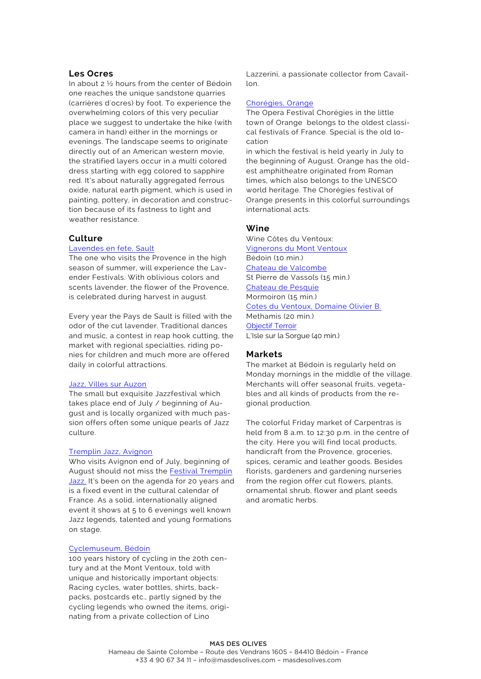# **Les Ocres**

In about 2 ½ hours from the center of Bédoin one reaches the unique sandstone quarries (carrières d'ocres) by foot. To experience the overwhelming colors of this very peculiar place we suggest to undertake the hike (with camera in hand) either in the mornings or evenings. The landscape seems to originate directly out of an American western movie, the stratified layers occur in a multi colored dress starting with egg colored to sapphire red. It's about naturally aggregated ferrous oxide, natural earth pigment, which is used in painting, pottery, in decoration and construction because of its fastness to light and weather resistance.

## **Culture**

# [Lavendes en fete, Sault](http://www.fetedelalavande.fr/)

The one who visits the Provence in the high season of summer, will experience the Lavender Festivals. With oblivious colors and scents lavender, the flower of the Provence, is celebrated during harvest in august.

Every year the Pays de Sault is filled with the odor of the cut lavender. Traditional dances and music, a contest in reap hook cutting, the market with regional specialties, riding ponies for children and much more are offered daily in colorful attractions.

## [Jazz, Villes sur Auzon](http://jazzavillessurauzon.free.fr/)

The small but exquisite Jazzfestival which takes place end of July / beginning of August and is locally organized with much passion offers often some unique pearls of Jazz culture.

#### [Tremplin Jazz, Avignon](http://www.festival-avignon.com/fr/)

Who visits Avignon end of July, beginning of August should not miss the [Festival Tremplin](http://www.festival-avignon.com/fr/)  [Jazz](http://www.festival-avignon.com/fr/). It's been on the agenda for 20 years and is a fixed event in the cultural calendar of France. As a solid, internationally aligned event it shows at 5 to 6 evenings well known Jazz legends, talented and young formations on stage.

## [Cyclemuseum, Bédoin](http://www.bedoin.fr/fr/information/82264/expo-cycles-bedoin-ventoux)

100 years history of cycling in the 20th century and at the Mont Ventoux, told with unique and historically important objects: Racing cycles, water bottles, shirts, backpacks, postcards etc., partly signed by the cycling legends who owned the items, originating from a private collection of Lino

Lazzerini, a passionate collector from Cavaillon.

## [Chorégies, Orange](http://www.choregies.fr/assets/pdf/2017.pdf)

The Opera Festival Chorégies in the little town of Orange belongs to the oldest classical festivals of France. Special is the old location

in which the festival is held yearly in July to the beginning of August. Orange has the oldest amphitheatre originated from Roman times, which also belongs to the UNESCO world heritage. The Chorégies festival of Orange presents in this colorful surroundings international acts.

## **Wine**

Wine Côtes du Ventoux: [Vignerons du Mont Ventoux](http://www.bedoin.org/)  Bédoin (10 min.) [Chateau de Valcombe](http://www.chateau-valcombe.fr/shop/)  St Pierre de Vassols (15 min.) [Chateau de Pesquie](http://www.chateaupesquie.com/)  Mormoiron (15 min.) [Cotes du Ventoux, Domaine Olivier B.](http://vigneronajt.centerblog.net/) Methamis (20 min.) [Objectif Terroir](http://www.objectif-terroir.com/vins/la-ferme-saint-pierre/) L'Isle sur la Sorgue (40 min.)

## **Markets**

The market at Bédoin is regularly held on Monday mornings in the middle of the village. Merchants will offer seasonal fruits, vegetables and all kinds of products from the regional production.

The colorful Friday market of Carpentras is held from 8 a.m. to 12:30 p.m. in the centre of the city. Here you will find local products, handicraft from the Provence, groceries, spices, ceramic and leather goods. Besides florists, gardeners and gardening nurseries from the region offer cut flowers, plants, ornamental shrub, flower and plant seeds and aromatic herbs.